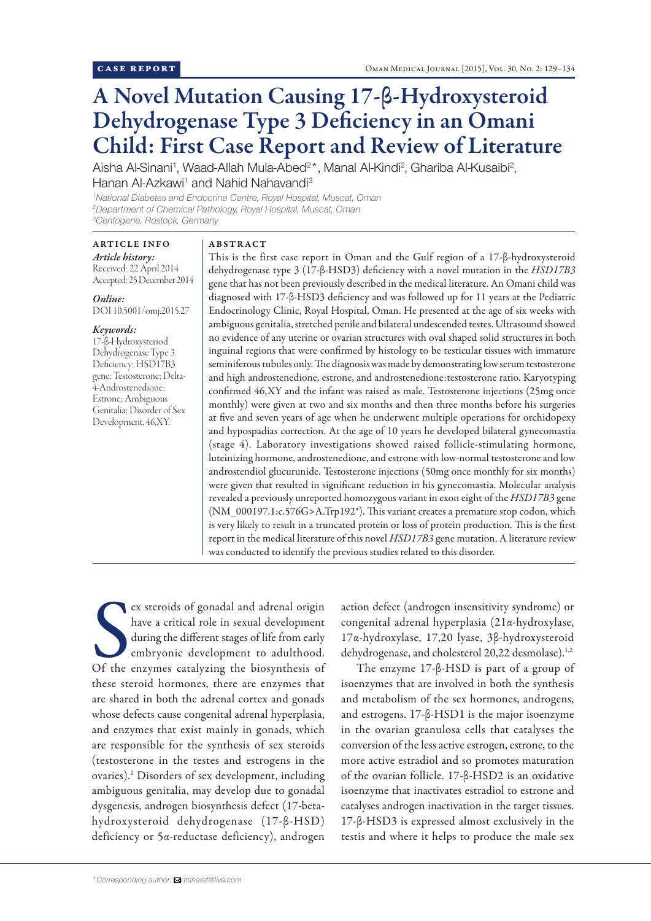# A Novel Mutation Causing 17-β-Hydroxysteroid Dehydrogenase Type 3 Deficiency in an Omani Child: First Case Report and Review of Literature

Aisha Al-Sinani<sup>1</sup>, Waad-Allah Mula-Abed<sup>2\*</sup>, Manal Al-Kindi<sup>2</sup>, Ghariba Al-Kusaibi<sup>2</sup>, Hanan Al-Azkawi<sup>1</sup> and Nahid Nahavandi<sup>3</sup>

*1 National Diabetes and Endocrine Centre, Royal Hospital, Muscat, Oman 2 Department of Chemical Pathology, Royal Hospital, Muscat, Oman 3 Centogene, Rostock, Germany*

# ARTICLE INFO

*Article history:*  Received: 22 April 2014 Accepted: 25 December 2014

*Online:* DOI 10.5001/omj.2015.27

### *Keywords:*

17-β-Hydroxysteriod Dehydrogenase Type 3 Deficiency; HSD17B3 gene; Testosterone; Delta-4-Androstenedione; Estrone; Ambiguous Genitalia; Disorder of Sex Development, 46,XY.

## ABSTRACT

This is the first case report in Oman and the Gulf region of a 17-β-hydroxysteroid dehydrogenase type 3 (17-β-HSD3) deficiency with a novel mutation in the *HSD17B3* gene that has not been previously described in the medical literature. An Omani child was diagnosed with 17-β-HSD3 deficiency and was followed up for 11 years at the Pediatric Endocrinology Clinic, Royal Hospital, Oman. He presented at the age of six weeks with ambiguous genitalia, stretched penile and bilateral undescended testes. Ultrasound showed no evidence of any uterine or ovarian structures with oval shaped solid structures in both inguinal regions that were confirmed by histology to be testicular tissues with immature seminiferous tubules only. The diagnosis was made by demonstrating low serum testosterone and high androstenedione, estrone, and androstenedione:testosterone ratio. Karyotyping confirmed 46,XY and the infant was raised as male. Testosterone injections (25mg once monthly) were given at two and six months and then three months before his surgeries at five and seven years of age when he underwent multiple operations for orchidopexy and hypospadias correction. At the age of 10 years he developed bilateral gynecomastia (stage 4). Laboratory investigations showed raised follicle-stimulating hormone, luteinizing hormone, androstenedione, and estrone with low-normal testosterone and low androstendiol glucurunide. Testosterone injections (50mg once monthly for six months) were given that resulted in significant reduction in his gynecomastia. Molecular analysis revealed a previously unreported homozygous variant in exon eight of the *HSD17B3* gene (NM\_000197.1:c.576G>A.Trp192\*). This variant creates a premature stop codon, which is very likely to result in a truncated protein or loss of protein production. This is the first report in the medical literature of this novel *HSD17B3* gene mutation. A literature review was conducted to identify the previous studies related to this disorder.

Ex steroids of gonadal and adrenal origin<br>have a critical role in sexual development<br>during the different stages of life from early<br>embryonic development to adulthood.<br>Of the enzymes catalyzing the biosynthesis of ex steroids of gonadal and adrenal origin have a critical role in sexual development during the different stages of life from early embryonic development to adulthood. these steroid hormones, there are enzymes that are shared in both the adrenal cortex and gonads whose defects cause congenital adrenal hyperplasia, and enzymes that exist mainly in gonads, which are responsible for the synthesis of sex steroids (testosterone in the testes and estrogens in the ovaries).<sup>1</sup> Disorders of sex development, including ambiguous genitalia, may develop due to gonadal dysgenesis, androgen biosynthesis defect (17-betahydroxysteroid dehydrogenase (17-β-HSD) deficiency or 5α-reductase deficiency), androgen

action defect (androgen insensitivity syndrome) or congenital adrenal hyperplasia (21α-hydroxylase, 17α-hydroxylase, 17,20 lyase, 3β-hydroxysteroid dehydrogenase, and cholesterol 20,22 desmolase).<sup>1,2</sup>

The enzyme 17-β-HSD is part of a group of isoenzymes that are involved in both the synthesis and metabolism of the sex hormones, androgens, and estrogens. 17-β-HSD1 is the major isoenzyme in the ovarian granulosa cells that catalyses the conversion of the less active estrogen, estrone, to the more active estradiol and so promotes maturation of the ovarian follicle. 17-β-HSD2 is an oxidative isoenzyme that inactivates estradiol to estrone and catalyses androgen inactivation in the target tissues. 17-β-HSD3 is expressed almost exclusively in the testis and where it helps to produce the male sex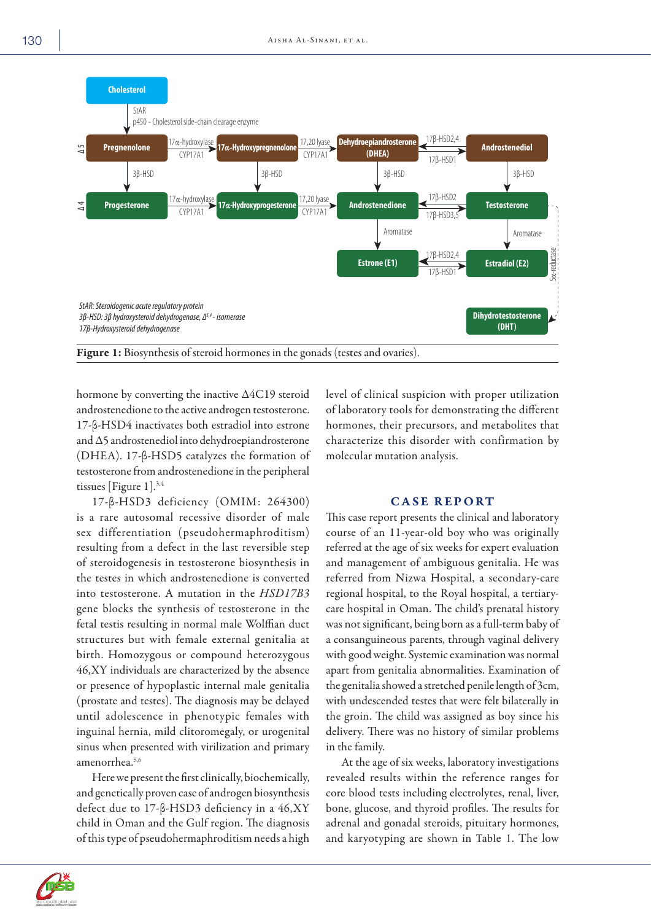

hormone by converting the inactive ∆4C19 steroid androstenedione to the active androgen testosterone. 17-β-HSD4 inactivates both estradiol into estrone and ∆5 androstenediol into dehydroepiandrosterone (DHEA). 17-β-HSD5 catalyzes the formation of testosterone from androstenedione in the peripheral tissues [Figure 1].3,4

17-β-HSD3 deficiency (OMIM: 264300) is a rare autosomal recessive disorder of male sex differentiation (pseudohermaphroditism) resulting from a defect in the last reversible step of steroidogenesis in testosterone biosynthesis in the testes in which androstenedione is converted into testosterone. A mutation in the *HSD17B3* gene blocks the synthesis of testosterone in the fetal testis resulting in normal male Wolffian duct structures but with female external genitalia at birth. Homozygous or compound heterozygous 46,XY individuals are characterized by the absence or presence of hypoplastic internal male genitalia (prostate and testes). The diagnosis may be delayed until adolescence in phenotypic females with inguinal hernia, mild clitoromegaly, or urogenital sinus when presented with virilization and primary amenorrhea.5,6

Here we present the first clinically, biochemically, and genetically proven case of androgen biosynthesis defect due to 17-β-HSD3 deficiency in a 46,XY child in Oman and the Gulf region. The diagnosis of this type of pseudohermaphroditism needs a high level of clinical suspicion with proper utilization of laboratory tools for demonstrating the different hormones, their precursors, and metabolites that characterize this disorder with confirmation by molecular mutation analysis.

## CASE REPORT

This case report presents the clinical and laboratory course of an 11-year-old boy who was originally referred at the age of six weeks for expert evaluation and management of ambiguous genitalia. He was referred from Nizwa Hospital, a secondary-care regional hospital, to the Royal hospital, a tertiarycare hospital in Oman. The child's prenatal history was not significant, being born as a full-term baby of a consanguineous parents, through vaginal delivery with good weight. Systemic examination was normal apart from genitalia abnormalities. Examination of the genitalia showed a stretched penile length of 3cm, with undescended testes that were felt bilaterally in the groin. The child was assigned as boy since his delivery. There was no history of similar problems in the family.

At the age of six weeks, laboratory investigations revealed results within the reference ranges for core blood tests including electrolytes, renal, liver, bone, glucose, and thyroid profiles. The results for adrenal and gonadal steroids, pituitary hormones, and karyotyping are shown in Table 1. The low

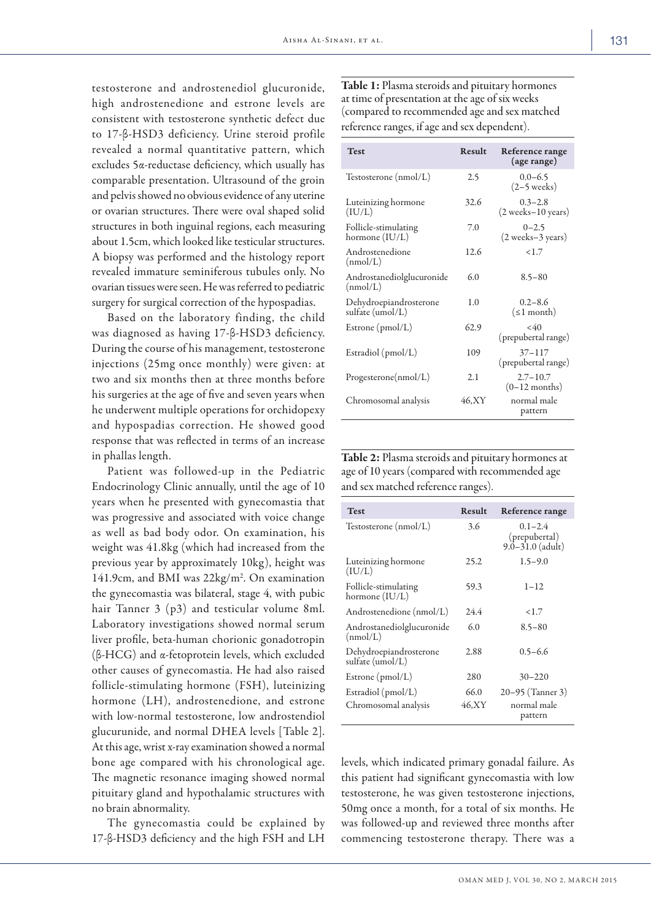testosterone and androstenediol glucuronide, high androstenedione and estrone levels are consistent with testosterone synthetic defect due to 17-β-HSD3 deficiency. Urine steroid profile revealed a normal quantitative pattern, which excludes 5α-reductase deficiency, which usually has comparable presentation. Ultrasound of the groin and pelvis showed no obvious evidence of any uterine or ovarian structures. There were oval shaped solid structures in both inguinal regions, each measuring about 1.5cm, which looked like testicular structures. A biopsy was performed and the histology report revealed immature seminiferous tubules only. No ovarian tissues were seen. He was referred to pediatric surgery for surgical correction of the hypospadias.

Based on the laboratory finding, the child was diagnosed as having 17-β-HSD3 deficiency. During the course of his management, testosterone injections (25mg once monthly) were given: at two and six months then at three months before his surgeries at the age of five and seven years when he underwent multiple operations for orchidopexy and hypospadias correction. He showed good response that was reflected in terms of an increase in phallas length.

Patient was followed-up in the Pediatric Endocrinology Clinic annually, until the age of 10 years when he presented with gynecomastia that was progressive and associated with voice change as well as bad body odor. On examination, his weight was 41.8kg (which had increased from the previous year by approximately 10kg), height was 141.9cm, and BMI was 22kg/m<sup>2</sup>. On examination the gynecomastia was bilateral, stage 4, with pubic hair Tanner 3 (p3) and testicular volume 8ml. Laboratory investigations showed normal serum liver profile, beta-human chorionic gonadotropin (β-HCG) and α-fetoprotein levels, which excluded other causes of gynecomastia. He had also raised follicle-stimulating hormone (FSH), luteinizing hormone (LH), androstenedione, and estrone with low-normal testosterone, low androstendiol glucurunide, and normal DHEA levels [Table 2]. At this age, wrist x-ray examination showed a normal bone age compared with his chronological age. The magnetic resonance imaging showed normal pituitary gland and hypothalamic structures with no brain abnormality.

The gynecomastia could be explained by 17-β-HSD3 deficiency and the high FSH and LH

Table 1: Plasma steroids and pituitary hormones at time of presentation at the age of six weeks (compared to recommended age and sex matched reference ranges, if age and sex dependent).

| <b>Test</b>                                | Result | Reference range<br>(age range)                        |
|--------------------------------------------|--------|-------------------------------------------------------|
| Testosterone (nmol/L)                      | 2.5    | $0.0 - 6.5$<br>$(2-5$ weeks)                          |
| Luteinizing hormone<br>(IU/L)              | 32.6   | $0.3 - 2.8$<br>$(2 \text{ weeks} - 10 \text{ years})$ |
| Follicle-stimulating<br>hormone (IU/L)     | 7.0    | $0 - 2.5$<br>(2 weeks–3 years)                        |
| Androstenedione<br>(mmol/L)                | 12.6   | 1.7                                                   |
| Androstanediolglucuronide<br>(nmol/L)      | 6.0    | $8.5 - 80$                                            |
| Dehydroepiandrosterone<br>sulfate (umol/L) | 1.0    | $0.2 - 8.6$<br>$(\leq 1$ month)                       |
| Estrone $(pmol/L)$                         | 62.9   | < 40<br>(prepubertal range)                           |
| Estradiol (pmol/L)                         | 109    | $37 - 117$<br>(prepubertal range)                     |
| Progesterone(nmol/L)                       | 2.1    | $2.7 - 10.7$<br>$(0-12$ months)                       |
| Chromosomal analysis                       | 46.XY  | normal male<br>pattern                                |

Table 2: Plasma steroids and pituitary hormones at age of 10 years (compared with recommended age and sex matched reference ranges).

| <b>Test</b>                                | Result        | Reference range                                      |
|--------------------------------------------|---------------|------------------------------------------------------|
| Testosterone (nmol/L)                      | 3.6           | $0.1 - 2.4$<br>(prepubertal)<br>$9.0 - 31.0$ (adult) |
| Luteinizing hormone<br>(IU/L)              | 25.2          | $1.5 - 9.0$                                          |
| Follicle-stimulating<br>hormone (IU/L)     | 59.3          | $1 - 12$                                             |
| Androstenedione (nmol/L)                   | 24.4          | <1.7                                                 |
| Androstanediolglucuronide<br>(mmol/L)      | 6.0           | $8.5 - 80$                                           |
| Dehydroepiandrosterone<br>sulfate (umol/L) | 2.88          | $0.5 - 6.6$                                          |
| Estrone $(pmol/L)$                         | 280           | $30 - 220$                                           |
| Estradiol (pmol/L)<br>Chromosomal analysis | 66.0<br>46,XY | 20–95 (Tanner 3)<br>normal male<br>pattern           |

levels, which indicated primary gonadal failure. As this patient had significant gynecomastia with low testosterone, he was given testosterone injections, 50mg once a month, for a total of six months. He was followed-up and reviewed three months after commencing testosterone therapy. There was a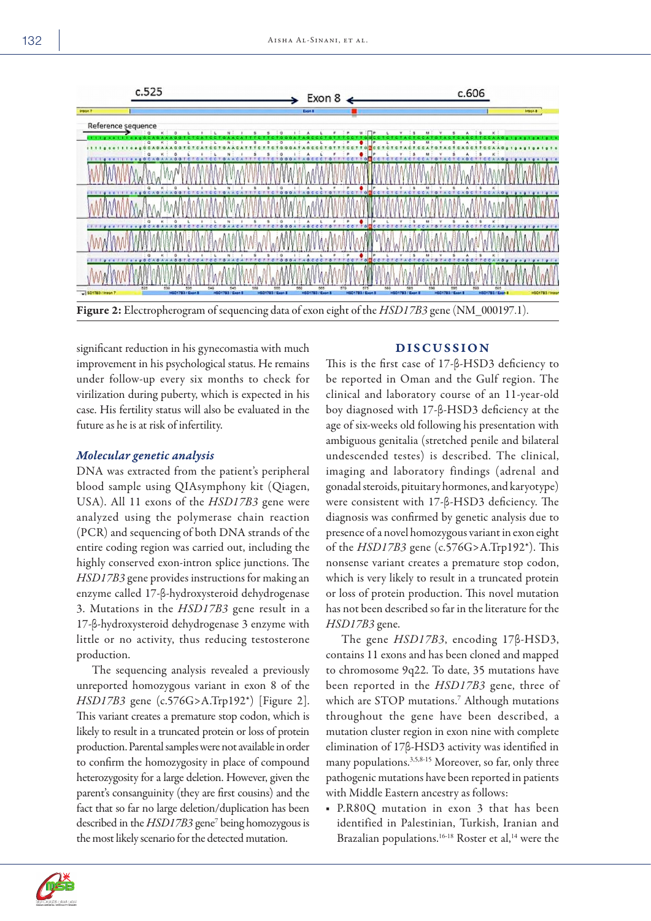

significant reduction in his gynecomastia with much improvement in his psychological status. He remains under follow-up every six months to check for virilization during puberty, which is expected in his case. His fertility status will also be evaluated in the future as he is at risk of infertility.

# *Molecular genetic analysis*

DNA was extracted from the patient's peripheral blood sample using QIAsymphony kit (Qiagen, USA). All 11 exons of the *HSD17B3* gene were analyzed using the polymerase chain reaction (PCR) and sequencing of both DNA strands of the entire coding region was carried out, including the highly conserved exon-intron splice junctions. The *HSD17B3* gene provides instructions for making an enzyme called 17-β-hydroxysteroid dehydrogenase 3. Mutations in the *HSD17B3* gene result in a 17-β-hydroxysteroid dehydrogenase 3 enzyme with little or no activity, thus reducing testosterone production.

The sequencing analysis revealed a previously unreported homozygous variant in exon 8 of the *HSD17B3* gene (c.576G>A.Trp192\*) [Figure 2]. This variant creates a premature stop codon, which is likely to result in a truncated protein or loss of protein production. Parental samples were not available in order to confirm the homozygosity in place of compound heterozygosity for a large deletion. However, given the parent's consanguinity (they are first cousins) and the fact that so far no large deletion/duplication has been described in the *HSD17B3* gene7 being homozygous is the most likely scenario for the detected mutation.

# DISCUSSION

This is the first case of 17-β-HSD3 deficiency to be reported in Oman and the Gulf region. The clinical and laboratory course of an 11-year-old boy diagnosed with 17-β-HSD3 deficiency at the age of six-weeks old following his presentation with ambiguous genitalia (stretched penile and bilateral undescended testes) is described. The clinical, imaging and laboratory findings (adrenal and gonadal steroids, pituitary hormones, and karyotype) were consistent with 17-β-HSD3 deficiency. The diagnosis was confirmed by genetic analysis due to presence of a novel homozygous variant in exon eight of the *HSD17B3* gene (c.576G>A.Trp192\*). This nonsense variant creates a premature stop codon, which is very likely to result in a truncated protein or loss of protein production. This novel mutation has not been described so far in the literature for the *HSD17B3* gene.

The gene *HSD17B3*, encoding 17β-HSD3, contains 11 exons and has been cloned and mapped to chromosome 9q22. To date, 35 mutations have been reported in the *HSD17B3* gene, three of which are STOP mutations.<sup>7</sup> Although mutations throughout the gene have been described, a mutation cluster region in exon nine with complete elimination of 17β-HSD3 activity was identified in many populations.3,5,8-15 Moreover, so far, only three pathogenic mutations have been reported in patients with Middle Eastern ancestry as follows:

■ P.R80Q mutation in exon 3 that has been identified in Palestinian, Turkish, Iranian and Brazalian populations.<sup>16-18</sup> Roster et al,<sup>14</sup> were the

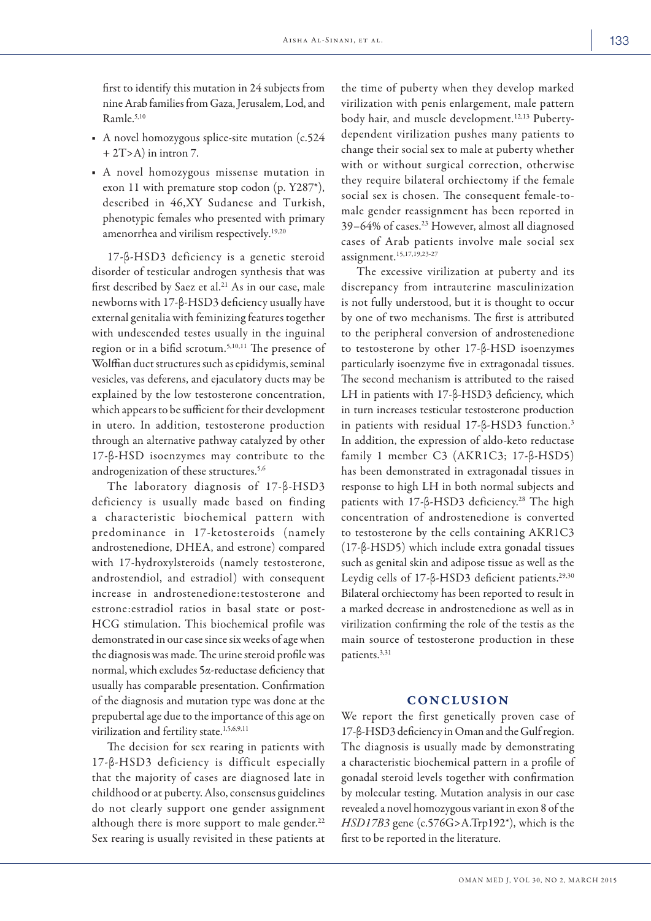first to identify this mutation in 24 subjects from nine Arab families from Gaza, Jerusalem, Lod, and Ramle.5,10

- A novel homozygous splice-site mutation (c.524  $+ 2T > A$ ) in intron 7.
- A novel homozygous missense mutation in exon 11 with premature stop codon (p. Y287\*), described in 46,XY Sudanese and Turkish, phenotypic females who presented with primary amenorrhea and virilism respectively.<sup>19,20</sup>

17-β-HSD3 deficiency is a genetic steroid disorder of testicular androgen synthesis that was first described by Saez et al.<sup>21</sup> As in our case, male newborns with 17-β-HSD3 deficiency usually have external genitalia with feminizing features together with undescended testes usually in the inguinal region or in a bifid scrotum.5,10,11 The presence of Wolffian duct structures such as epididymis, seminal vesicles, vas deferens, and ejaculatory ducts may be explained by the low testosterone concentration, which appears to be sufficient for their development in utero. In addition, testosterone production through an alternative pathway catalyzed by other 17-β-HSD isoenzymes may contribute to the androgenization of these structures.<sup>5,6</sup>

The laboratory diagnosis of 17-β-HSD3 deficiency is usually made based on finding a characteristic biochemical pattern with predominance in 17-ketosteroids (namely androstenedione, DHEA, and estrone) compared with 17-hydroxylsteroids (namely testosterone, androstendiol, and estradiol) with consequent increase in androstenedione:testosterone and estrone:estradiol ratios in basal state or post-HCG stimulation. This biochemical profile was demonstrated in our case since six weeks of age when the diagnosis was made. The urine steroid profile was normal, which excludes 5α-reductase deficiency that usually has comparable presentation. Confirmation of the diagnosis and mutation type was done at the prepubertal age due to the importance of this age on virilization and fertility state.<sup>1,5,6,9,11</sup>

The decision for sex rearing in patients with 17-β-HSD3 deficiency is difficult especially that the majority of cases are diagnosed late in childhood or at puberty. Also, consensus guidelines do not clearly support one gender assignment although there is more support to male gender. $22$ Sex rearing is usually revisited in these patients at

the time of puberty when they develop marked virilization with penis enlargement, male pattern body hair, and muscle development.12,13 Pubertydependent virilization pushes many patients to change their social sex to male at puberty whether with or without surgical correction, otherwise they require bilateral orchiectomy if the female social sex is chosen. The consequent female-tomale gender reassignment has been reported in 39–64% of cases.23 However, almost all diagnosed cases of Arab patients involve male social sex assignment.15,17,19,23-27

The excessive virilization at puberty and its discrepancy from intrauterine masculinization is not fully understood, but it is thought to occur by one of two mechanisms. The first is attributed to the peripheral conversion of androstenedione to testosterone by other 17-β-HSD isoenzymes particularly isoenzyme five in extragonadal tissues. The second mechanism is attributed to the raised LH in patients with 17-β-HSD3 deficiency, which in turn increases testicular testosterone production in patients with residual 17-β-HSD3 function.3 In addition, the expression of aldo-keto reductase family 1 member C3 (AKR1C3; 17-β-HSD5) has been demonstrated in extragonadal tissues in response to high LH in both normal subjects and patients with 17-β-HSD3 deficiency.<sup>28</sup> The high concentration of androstenedione is converted to testosterone by the cells containing AKR1C3 (17-β-HSD5) which include extra gonadal tissues such as genital skin and adipose tissue as well as the Leydig cells of 17-β-HSD3 deficient patients.<sup>29,30</sup> Bilateral orchiectomy has been reported to result in a marked decrease in androstenedione as well as in virilization confirming the role of the testis as the main source of testosterone production in these patients.3,31

## CONCLUSION

We report the first genetically proven case of 17-β-HSD3 deficiency in Oman and the Gulf region. The diagnosis is usually made by demonstrating a characteristic biochemical pattern in a profile of gonadal steroid levels together with confirmation by molecular testing. Mutation analysis in our case revealed a novel homozygous variant in exon 8 of the *HSD17B3* gene (c.576G>A.Trp192\*), which is the first to be reported in the literature.